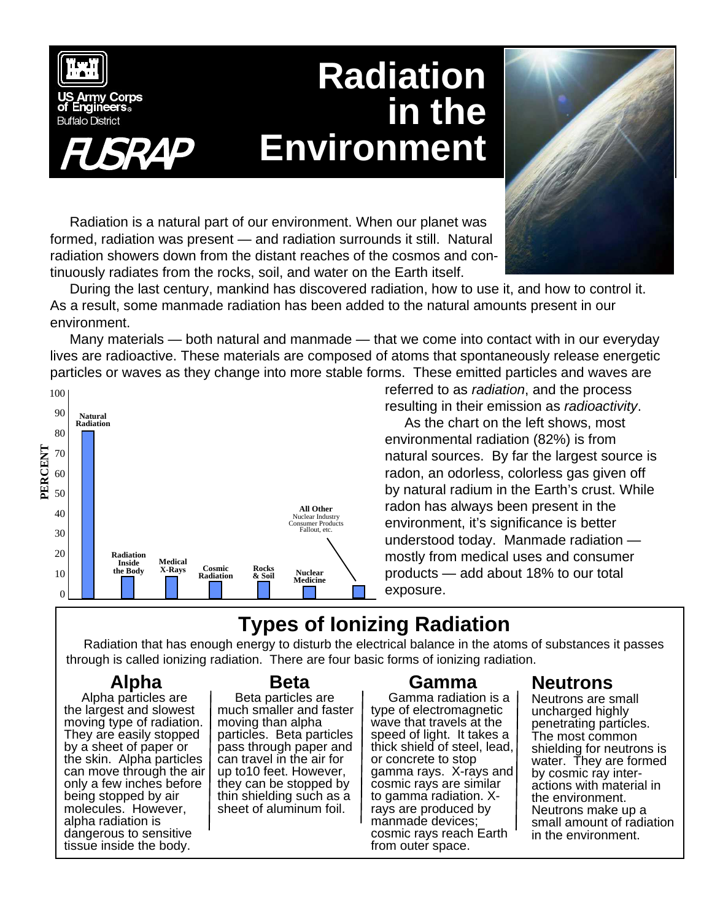

# **Radiation in the Environment**



Radiation is a natural part of our environment. When our planet was formed, radiation was present — and radiation surrounds it still. Natural radiation showers down from the distant reaches of the cosmos and continuously radiates from the rocks, soil, and water on the Earth itself.

During the last century, mankind has discovered radiation, how to use it, and how to control it. As a result, some manmade radiation has been added to the natural amounts present in our environment.

Many materials — both natural and manmade — that we come into contact with in our everyday lives are radioactive. These materials are composed of atoms that spontaneously release energetic particles or waves as they change into more stable forms. These emitted particles and waves are



referred to as *radiation*, and the process resulting in their emission as *radioactivity*.

As the chart on the left shows, most environmental radiation (82%) is from natural sources. By far the largest source is radon, an odorless, colorless gas given off by natural radium in the Earth's crust. While radon has always been present in the environment, it's significance is better understood today. Manmade radiation mostly from medical uses and consumer products — add about 18% to our total exposure.

# **Types of Ionizing Radiation**

Radiation that has enough energy to disturb the electrical balance in the atoms of substances it passes through is called ionizing radiation. There are four basic forms of ionizing radiation.

## **Alpha**

Alpha particles are the largest and slowest moving type of radiation. They are easily stopped by a sheet of paper or the skin. Alpha particles can move through the air only a few inches before being stopped by air molecules. However, alpha radiation is dangerous to sensitive tissue inside the body.

#### **Beta**

Beta particles are much smaller and faster moving than alpha particles. Beta particles pass through paper and can travel in the air for up to10 feet. However, they can be stopped by thin shielding such as a sheet of aluminum foil.

## **Gamma**

Gamma radiation is a type of electromagnetic wave that travels at the speed of light. It takes a thick shield of steel, lead, or concrete to stop gamma rays. X-rays and cosmic rays are similar to gamma radiation. Xrays are produced by manmade devices; cosmic rays reach Earth from outer space.

## **Neutrons**

Neutrons are small uncharged highly penetrating particles. The most common shielding for neutrons is water. They are formed by cosmic ray interactions with material in the environment. Neutrons make up a small amount of radiation in the environment.